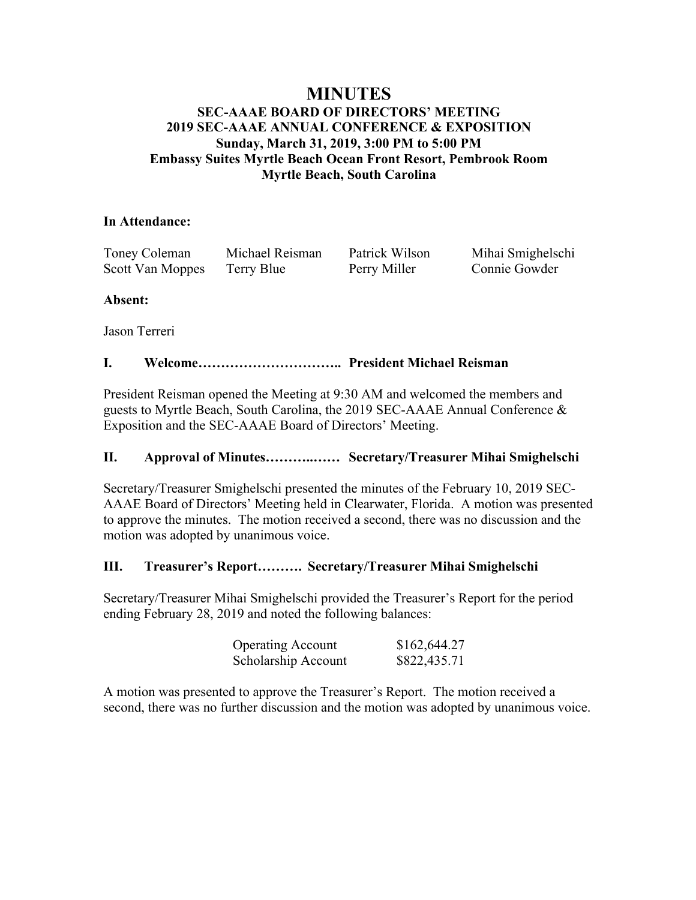# **MINUTES**

# **SEC-AAAE BOARD OF DIRECTORS' MEETING 2019 SEC-AAAE ANNUAL CONFERENCE & EXPOSITION Sunday, March 31, 2019, 3:00 PM to 5:00 PM Embassy Suites Myrtle Beach Ocean Front Resort, Pembrook Room Myrtle Beach, South Carolina**

## **In Attendance:**

| Toney Coleman    | Michael Reisman | Patrick Wilson | Mihai Smighelschi |
|------------------|-----------------|----------------|-------------------|
| Scott Van Moppes | Terry Blue      | Perry Miller   | Connie Gowder     |

# **Absent:**

Jason Terreri

# **I. Welcome………………………….. President Michael Reisman**

President Reisman opened the Meeting at 9:30 AM and welcomed the members and guests to Myrtle Beach, South Carolina, the 2019 SEC-AAAE Annual Conference & Exposition and the SEC-AAAE Board of Directors' Meeting.

# **II. Approval of Minutes………..…… Secretary/Treasurer Mihai Smighelschi**

Secretary/Treasurer Smighelschi presented the minutes of the February 10, 2019 SEC-AAAE Board of Directors' Meeting held in Clearwater, Florida. A motion was presented to approve the minutes. The motion received a second, there was no discussion and the motion was adopted by unanimous voice.

# **III. Treasurer's Report………. Secretary/Treasurer Mihai Smighelschi**

Secretary/Treasurer Mihai Smighelschi provided the Treasurer's Report for the period ending February 28, 2019 and noted the following balances:

| <b>Operating Account</b> | \$162,644.27 |
|--------------------------|--------------|
| Scholarship Account      | \$822,435.71 |

A motion was presented to approve the Treasurer's Report. The motion received a second, there was no further discussion and the motion was adopted by unanimous voice.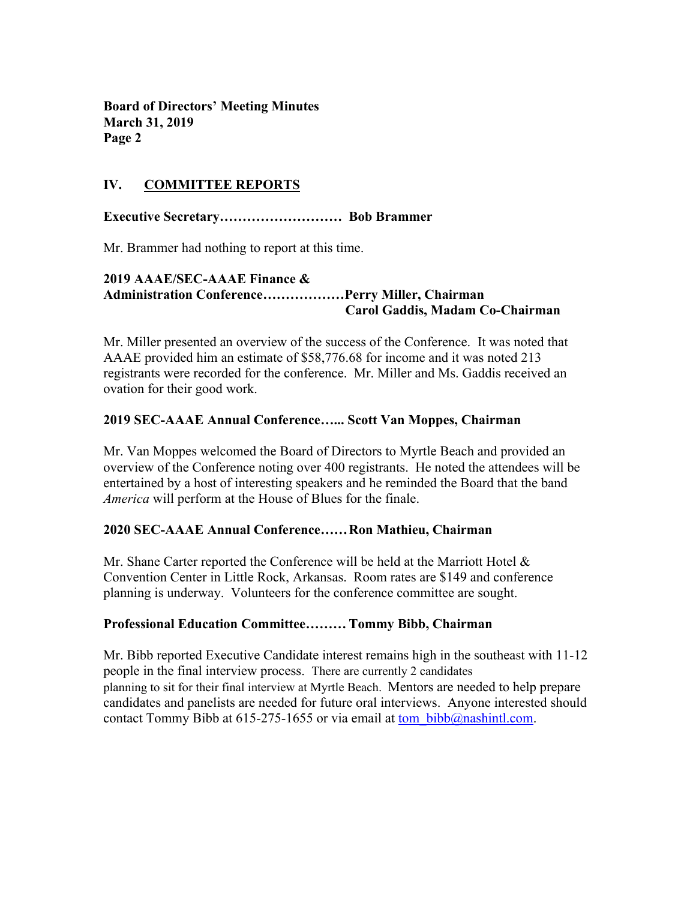**Board of Directors' Meeting Minutes March 31, 2019 Page 2**

# **IV. COMMITTEE REPORTS**

**Executive Secretary……………………… Bob Brammer**

Mr. Brammer had nothing to report at this time.

#### **2019 AAAE/SEC-AAAE Finance & Administration Conference………………Perry Miller, Chairman Carol Gaddis, Madam Co-Chairman**

Mr. Miller presented an overview of the success of the Conference. It was noted that AAAE provided him an estimate of \$58,776.68 for income and it was noted 213 registrants were recorded for the conference. Mr. Miller and Ms. Gaddis received an ovation for their good work.

#### **2019 SEC-AAAE Annual Conference…... Scott Van Moppes, Chairman**

Mr. Van Moppes welcomed the Board of Directors to Myrtle Beach and provided an overview of the Conference noting over 400 registrants. He noted the attendees will be entertained by a host of interesting speakers and he reminded the Board that the band *America* will perform at the House of Blues for the finale.

#### **2020 SEC-AAAE Annual Conference……Ron Mathieu, Chairman**

Mr. Shane Carter reported the Conference will be held at the Marriott Hotel & Convention Center in Little Rock, Arkansas. Room rates are \$149 and conference planning is underway. Volunteers for the conference committee are sought.

## **Professional Education Committee……… Tommy Bibb, Chairman**

Mr. Bibb reported Executive Candidate interest remains high in the southeast with 11-12 people in the final interview process. There are currently 2 candidates planning to sit for their final interview at Myrtle Beach. Mentors are needed to help prepare candidates and panelists are needed for future oral interviews. Anyone interested should contact Tommy Bibb at  $615-275-1655$  or via email at tom bibb@nashintl.com.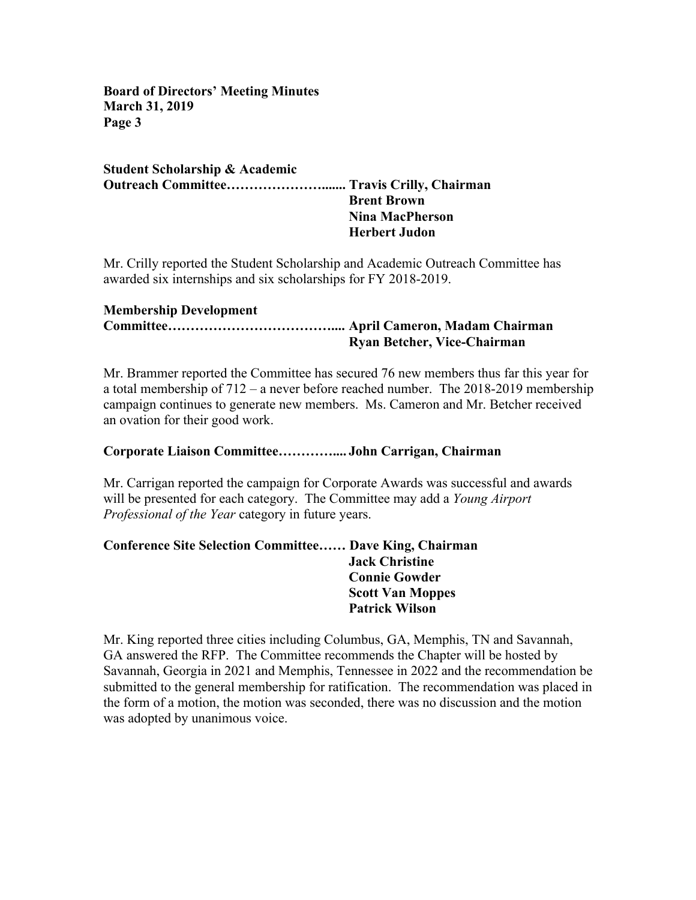**Board of Directors' Meeting Minutes March 31, 2019 Page 3**

**Student Scholarship & Academic Outreach Committee…………………....... Travis Crilly, Chairman Brent Brown Nina MacPherson Herbert Judon**

Mr. Crilly reported the Student Scholarship and Academic Outreach Committee has awarded six internships and six scholarships for FY 2018-2019.

#### **Membership Development Committee……………………………….... April Cameron, Madam Chairman Ryan Betcher, Vice-Chairman**

Mr. Brammer reported the Committee has secured 76 new members thus far this year for a total membership of 712 – a never before reached number. The 2018-2019 membership campaign continues to generate new members. Ms. Cameron and Mr. Betcher received an ovation for their good work.

## **Corporate Liaison Committee………….... John Carrigan, Chairman**

Mr. Carrigan reported the campaign for Corporate Awards was successful and awards will be presented for each category. The Committee may add a *Young Airport Professional of the Year* category in future years.

# **Conference Site Selection Committee…… Dave King, Chairman Jack Christine Connie Gowder Scott Van Moppes Patrick Wilson**

Mr. King reported three cities including Columbus, GA, Memphis, TN and Savannah, GA answered the RFP. The Committee recommends the Chapter will be hosted by Savannah, Georgia in 2021 and Memphis, Tennessee in 2022 and the recommendation be submitted to the general membership for ratification. The recommendation was placed in the form of a motion, the motion was seconded, there was no discussion and the motion was adopted by unanimous voice.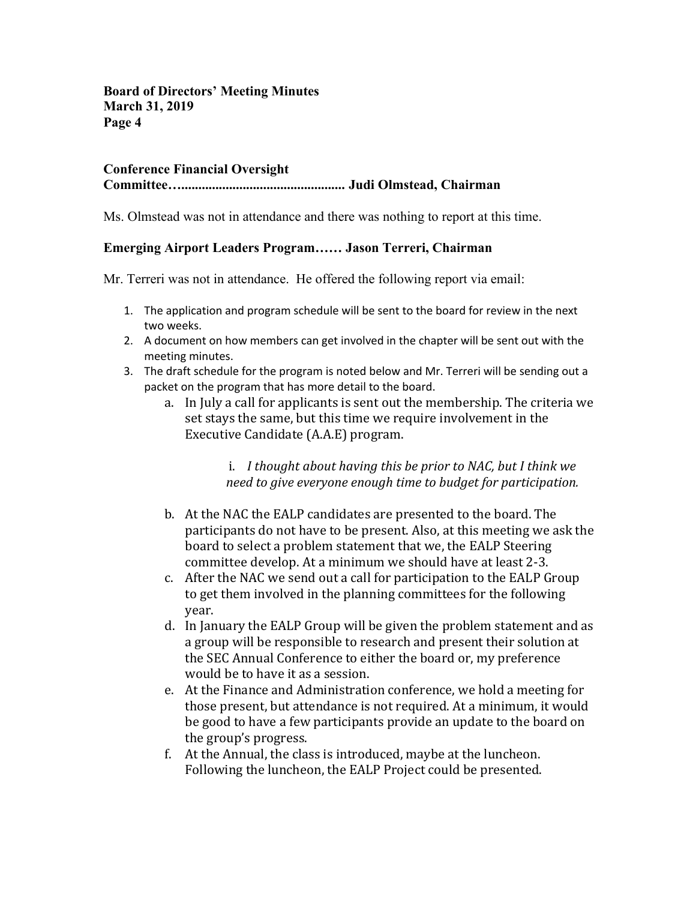**Board of Directors' Meeting Minutes March 31, 2019 Page 4**

# **Conference Financial Oversight**

#### **Committee…................................................ Judi Olmstead, Chairman**

Ms. Olmstead was not in attendance and there was nothing to report at this time.

## **Emerging Airport Leaders Program…… Jason Terreri, Chairman**

Mr. Terreri was not in attendance. He offered the following report via email:

- 1. The application and program schedule will be sent to the board for review in the next two weeks.
- 2. A document on how members can get involved in the chapter will be sent out with the meeting minutes.
- 3. The draft schedule for the program is noted below and Mr. Terreri will be sending out a packet on the program that has more detail to the board.
	- a. In July a call for applicants is sent out the membership. The criteria we set stays the same, but this time we require involvement in the Executive Candidate (A.A.E) program.

i. I thought about having this be prior to NAC, but I think we *need to give everyone enough time to budget for participation.* 

- b. At the NAC the EALP candidates are presented to the board. The participants do not have to be present. Also, at this meeting we ask the board to select a problem statement that we, the EALP Steering committee develop. At a minimum we should have at least 2-3.
- c. After the NAC we send out a call for participation to the EALP Group to get them involved in the planning committees for the following year.
- d. In January the EALP Group will be given the problem statement and as a group will be responsible to research and present their solution at the SEC Annual Conference to either the board or, my preference would be to have it as a session.
- e. At the Finance and Administration conference, we hold a meeting for those present, but attendance is not required. At a minimum, it would be good to have a few participants provide an update to the board on the group's progress.
- f. At the Annual, the class is introduced, maybe at the luncheon. Following the luncheon, the EALP Project could be presented.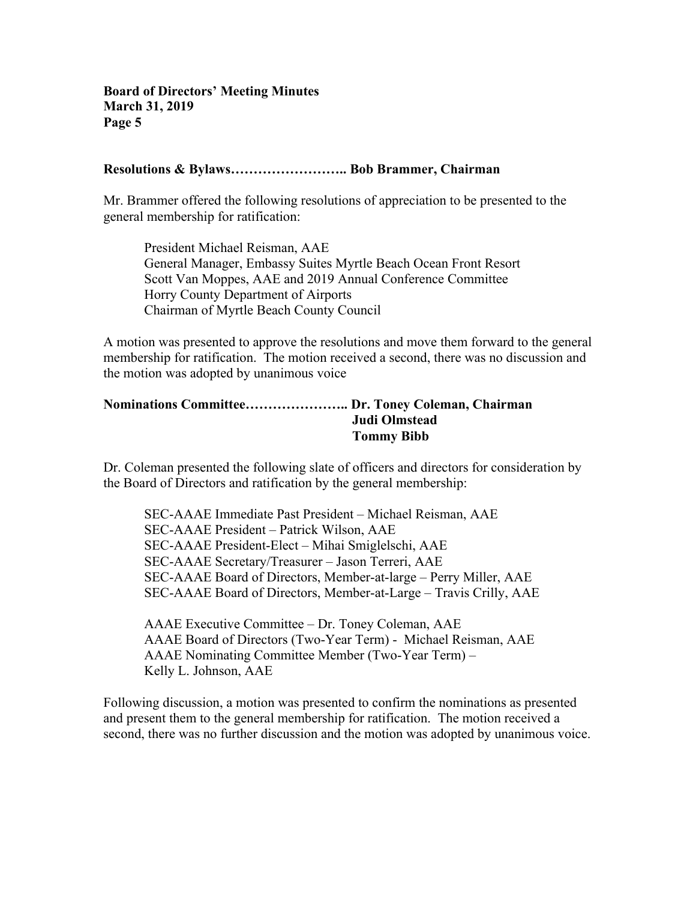#### **Resolutions & Bylaws…………………….. Bob Brammer, Chairman**

Mr. Brammer offered the following resolutions of appreciation to be presented to the general membership for ratification:

President Michael Reisman, AAE General Manager, Embassy Suites Myrtle Beach Ocean Front Resort Scott Van Moppes, AAE and 2019 Annual Conference Committee Horry County Department of Airports Chairman of Myrtle Beach County Council

A motion was presented to approve the resolutions and move them forward to the general membership for ratification. The motion received a second, there was no discussion and the motion was adopted by unanimous voice

## **Nominations Committee………………….. Dr. Toney Coleman, Chairman Judi Olmstead Tommy Bibb**

Dr. Coleman presented the following slate of officers and directors for consideration by the Board of Directors and ratification by the general membership:

SEC-AAAE Immediate Past President – Michael Reisman, AAE SEC-AAAE President – Patrick Wilson, AAE SEC-AAAE President-Elect – Mihai Smiglelschi, AAE SEC-AAAE Secretary/Treasurer – Jason Terreri, AAE SEC-AAAE Board of Directors, Member-at-large – Perry Miller, AAE SEC-AAAE Board of Directors, Member-at-Large – Travis Crilly, AAE

AAAE Executive Committee – Dr. Toney Coleman, AAE AAAE Board of Directors (Two-Year Term) - Michael Reisman, AAE AAAE Nominating Committee Member (Two-Year Term) – Kelly L. Johnson, AAE

Following discussion, a motion was presented to confirm the nominations as presented and present them to the general membership for ratification. The motion received a second, there was no further discussion and the motion was adopted by unanimous voice.